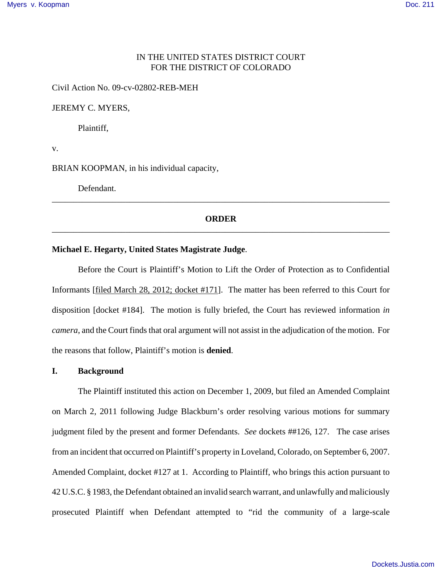# IN THE UNITED STATES DISTRICT COURT FOR THE DISTRICT OF COLORADO

Civil Action No. 09-cv-02802-REB-MEH

JEREMY C. MYERS,

Plaintiff,

v.

BRIAN KOOPMAN, in his individual capacity,

Defendant.

## **ORDER** \_\_\_\_\_\_\_\_\_\_\_\_\_\_\_\_\_\_\_\_\_\_\_\_\_\_\_\_\_\_\_\_\_\_\_\_\_\_\_\_\_\_\_\_\_\_\_\_\_\_\_\_\_\_\_\_\_\_\_\_\_\_\_\_\_\_\_\_\_\_\_\_\_\_\_\_\_\_

\_\_\_\_\_\_\_\_\_\_\_\_\_\_\_\_\_\_\_\_\_\_\_\_\_\_\_\_\_\_\_\_\_\_\_\_\_\_\_\_\_\_\_\_\_\_\_\_\_\_\_\_\_\_\_\_\_\_\_\_\_\_\_\_\_\_\_\_\_\_\_\_\_\_\_\_\_\_

### **Michael E. Hegarty, United States Magistrate Judge**.

Before the Court is Plaintiff's Motion to Lift the Order of Protection as to Confidential Informants [filed March 28, 2012; docket #171]. The matter has been referred to this Court for disposition [docket #184]. The motion is fully briefed, the Court has reviewed information *in camera*, and the Court finds that oral argument will not assist in the adjudication of the motion. For the reasons that follow, Plaintiff's motion is **denied**.

# **I. Background**

The Plaintiff instituted this action on December 1, 2009, but filed an Amended Complaint on March 2, 2011 following Judge Blackburn's order resolving various motions for summary judgment filed by the present and former Defendants. *See* dockets ##126, 127. The case arises from an incident that occurred on Plaintiff's property in Loveland, Colorado, on September 6, 2007. Amended Complaint, docket #127 at 1. According to Plaintiff, who brings this action pursuant to 42 U.S.C. § 1983, the Defendant obtained an invalid search warrant, and unlawfully and maliciously prosecuted Plaintiff when Defendant attempted to "rid the community of a large-scale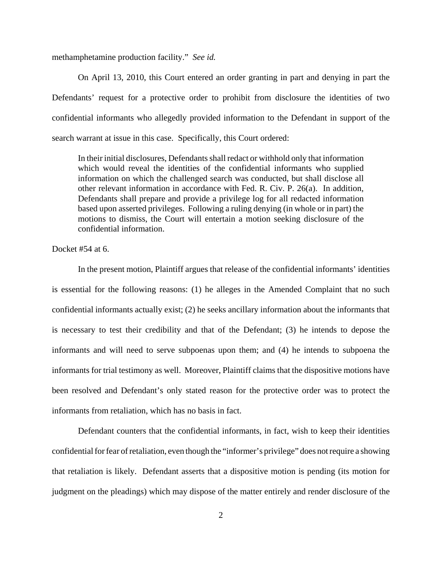methamphetamine production facility." *See id.*

On April 13, 2010, this Court entered an order granting in part and denying in part the Defendants' request for a protective order to prohibit from disclosure the identities of two confidential informants who allegedly provided information to the Defendant in support of the search warrant at issue in this case. Specifically, this Court ordered:

In their initial disclosures, Defendants shall redact or withhold only that information which would reveal the identities of the confidential informants who supplied information on which the challenged search was conducted, but shall disclose all other relevant information in accordance with Fed. R. Civ. P. 26(a). In addition, Defendants shall prepare and provide a privilege log for all redacted information based upon asserted privileges. Following a ruling denying (in whole or in part) the motions to dismiss, the Court will entertain a motion seeking disclosure of the confidential information.

Docket #54 at 6.

In the present motion, Plaintiff argues that release of the confidential informants' identities is essential for the following reasons: (1) he alleges in the Amended Complaint that no such confidential informants actually exist; (2) he seeks ancillary information about the informants that is necessary to test their credibility and that of the Defendant; (3) he intends to depose the informants and will need to serve subpoenas upon them; and (4) he intends to subpoena the informants for trial testimony as well. Moreover, Plaintiff claims that the dispositive motions have been resolved and Defendant's only stated reason for the protective order was to protect the informants from retaliation, which has no basis in fact.

Defendant counters that the confidential informants, in fact, wish to keep their identities confidential for fear of retaliation, even though the "informer's privilege" does not require a showing that retaliation is likely. Defendant asserts that a dispositive motion is pending (its motion for judgment on the pleadings) which may dispose of the matter entirely and render disclosure of the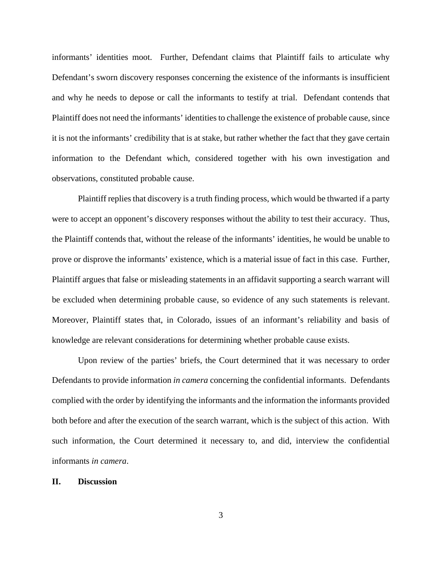informants' identities moot. Further, Defendant claims that Plaintiff fails to articulate why Defendant's sworn discovery responses concerning the existence of the informants is insufficient and why he needs to depose or call the informants to testify at trial. Defendant contends that Plaintiff does not need the informants' identities to challenge the existence of probable cause, since it is not the informants' credibility that is at stake, but rather whether the fact that they gave certain information to the Defendant which, considered together with his own investigation and observations, constituted probable cause.

Plaintiff replies that discovery is a truth finding process, which would be thwarted if a party were to accept an opponent's discovery responses without the ability to test their accuracy. Thus, the Plaintiff contends that, without the release of the informants' identities, he would be unable to prove or disprove the informants' existence, which is a material issue of fact in this case. Further, Plaintiff argues that false or misleading statements in an affidavit supporting a search warrant will be excluded when determining probable cause, so evidence of any such statements is relevant. Moreover, Plaintiff states that, in Colorado, issues of an informant's reliability and basis of knowledge are relevant considerations for determining whether probable cause exists.

Upon review of the parties' briefs, the Court determined that it was necessary to order Defendants to provide information *in camera* concerning the confidential informants. Defendants complied with the order by identifying the informants and the information the informants provided both before and after the execution of the search warrant, which is the subject of this action. With such information, the Court determined it necessary to, and did, interview the confidential informants *in camera*.

### **II. Discussion**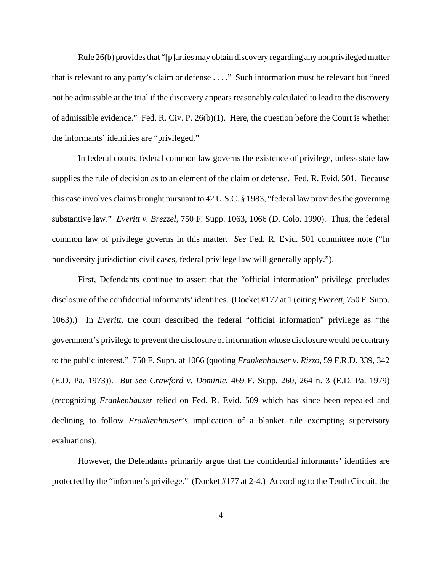Rule 26(b) provides that "[p]arties may obtain discovery regarding any nonprivileged matter that is relevant to any party's claim or defense . . . ." Such information must be relevant but "need not be admissible at the trial if the discovery appears reasonably calculated to lead to the discovery of admissible evidence." Fed. R. Civ. P. 26(b)(1). Here, the question before the Court is whether the informants' identities are "privileged."

In federal courts, federal common law governs the existence of privilege, unless state law supplies the rule of decision as to an element of the claim or defense. Fed. R. Evid. 501. Because this case involves claims brought pursuant to 42 U.S.C. § 1983, "federal law provides the governing substantive law." *Everitt v. Brezzel*, 750 F. Supp. 1063, 1066 (D. Colo. 1990). Thus, the federal common law of privilege governs in this matter. *See* Fed. R. Evid. 501 committee note ("In nondiversity jurisdiction civil cases, federal privilege law will generally apply.").

First, Defendants continue to assert that the "official information" privilege precludes disclosure of the confidential informants' identities. (Docket #177 at 1 (citing *Everett*, 750 F. Supp. 1063).) In *Everitt*, the court described the federal "official information" privilege as "the government's privilege to prevent the disclosure of information whose disclosure would be contrary to the public interest." 750 F. Supp. at 1066 (quoting *Frankenhauser v. Rizzo*, 59 F.R.D. 339, 342 (E.D. Pa. 1973)). *But see Crawford v. Dominic*, 469 F. Supp. 260, 264 n. 3 (E.D. Pa. 1979) (recognizing *Frankenhauser* relied on Fed. R. Evid. 509 which has since been repealed and declining to follow *Frankenhauser*'s implication of a blanket rule exempting supervisory evaluations).

However, the Defendants primarily argue that the confidential informants' identities are protected by the "informer's privilege." (Docket #177 at 2-4.) According to the Tenth Circuit, the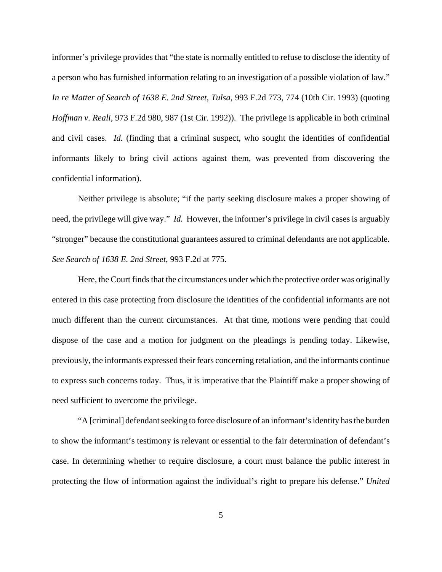informer's privilege provides that "the state is normally entitled to refuse to disclose the identity of a person who has furnished information relating to an investigation of a possible violation of law." *In re Matter of Search of 1638 E. 2nd Street, Tulsa*, 993 F.2d 773, 774 (10th Cir. 1993) (quoting *Hoffman v. Reali*, 973 F.2d 980, 987 (1st Cir. 1992)). The privilege is applicable in both criminal and civil cases. *Id.* (finding that a criminal suspect, who sought the identities of confidential informants likely to bring civil actions against them, was prevented from discovering the confidential information).

Neither privilege is absolute; "if the party seeking disclosure makes a proper showing of need, the privilege will give way." *Id.* However, the informer's privilege in civil cases is arguably "stronger" because the constitutional guarantees assured to criminal defendants are not applicable. *See Search of 1638 E. 2nd Street*, 993 F.2d at 775.

Here, the Court finds that the circumstances under which the protective order was originally entered in this case protecting from disclosure the identities of the confidential informants are not much different than the current circumstances. At that time, motions were pending that could dispose of the case and a motion for judgment on the pleadings is pending today. Likewise, previously, the informants expressed their fears concerning retaliation, and the informants continue to express such concerns today. Thus, it is imperative that the Plaintiff make a proper showing of need sufficient to overcome the privilege.

"A [criminal] defendant seeking to force disclosure of an informant's identity has the burden to show the informant's testimony is relevant or essential to the fair determination of defendant's case. In determining whether to require disclosure, a court must balance the public interest in protecting the flow of information against the individual's right to prepare his defense." *United*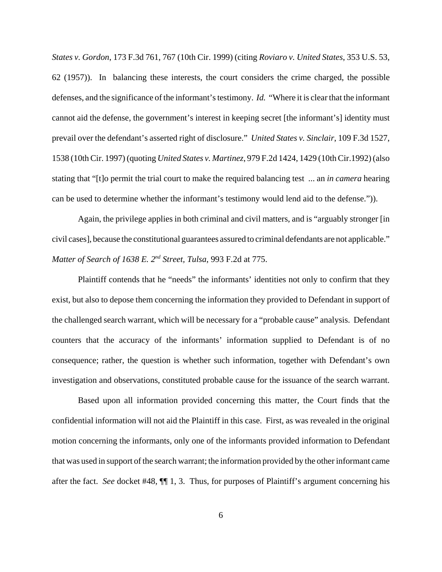*States v. Gordon*, 173 F.3d 761, 767 (10th Cir. 1999) (citing *Roviaro v. United States*, 353 U.S. 53, 62 (1957)). In balancing these interests, the court considers the crime charged, the possible defenses, and the significance of the informant's testimony. *Id.* "Where it is clear that the informant cannot aid the defense, the government's interest in keeping secret [the informant's] identity must prevail over the defendant's asserted right of disclosure." *United States v. Sinclair*, 109 F.3d 1527, 1538 (10th Cir. 1997) (quoting *United States v. Martinez*, 979 F.2d 1424, 1429 (10th Cir.1992) (also stating that "[t]o permit the trial court to make the required balancing test ... an *in camera* hearing can be used to determine whether the informant's testimony would lend aid to the defense.")).

Again, the privilege applies in both criminal and civil matters, and is "arguably stronger [in civil cases], because the constitutional guarantees assured to criminal defendants are not applicable." *Matter of Search of 1638 E. 2nd Street, Tulsa*, 993 F.2d at 775.

Plaintiff contends that he "needs" the informants' identities not only to confirm that they exist, but also to depose them concerning the information they provided to Defendant in support of the challenged search warrant, which will be necessary for a "probable cause" analysis. Defendant counters that the accuracy of the informants' information supplied to Defendant is of no consequence; rather, the question is whether such information, together with Defendant's own investigation and observations, constituted probable cause for the issuance of the search warrant.

Based upon all information provided concerning this matter, the Court finds that the confidential information will not aid the Plaintiff in this case. First, as was revealed in the original motion concerning the informants, only one of the informants provided information to Defendant that was used in support of the search warrant; the information provided by the other informant came after the fact. *See* docket #48, ¶¶ 1, 3. Thus, for purposes of Plaintiff's argument concerning his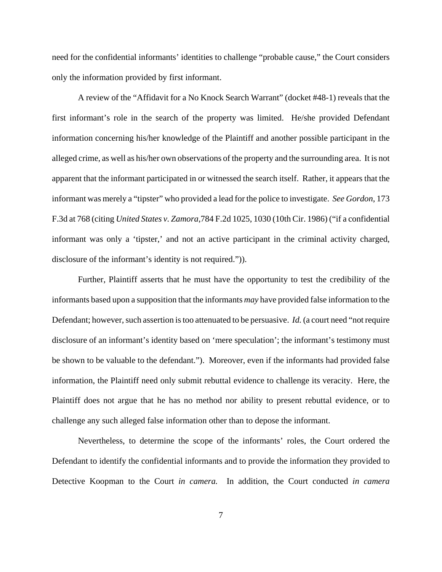need for the confidential informants' identities to challenge "probable cause," the Court considers only the information provided by first informant.

A review of the "Affidavit for a No Knock Search Warrant" (docket #48-1) reveals that the first informant's role in the search of the property was limited. He/she provided Defendant information concerning his/her knowledge of the Plaintiff and another possible participant in the alleged crime, as well as his/her own observations of the property and the surrounding area. It is not apparent that the informant participated in or witnessed the search itself. Rather, it appears that the informant was merely a "tipster" who provided a lead for the police to investigate. *See Gordon*, 173 F.3d at 768 (citing *United States v. Zamora*,784 F.2d 1025, 1030 (10th Cir. 1986) ("if a confidential informant was only a 'tipster,' and not an active participant in the criminal activity charged, disclosure of the informant's identity is not required.")).

Further, Plaintiff asserts that he must have the opportunity to test the credibility of the informants based upon a supposition that the informants *may* have provided false information to the Defendant; however, such assertion is too attenuated to be persuasive. *Id.* (a court need "not require disclosure of an informant's identity based on 'mere speculation'; the informant's testimony must be shown to be valuable to the defendant."). Moreover, even if the informants had provided false information, the Plaintiff need only submit rebuttal evidence to challenge its veracity. Here, the Plaintiff does not argue that he has no method nor ability to present rebuttal evidence, or to challenge any such alleged false information other than to depose the informant.

Nevertheless, to determine the scope of the informants' roles, the Court ordered the Defendant to identify the confidential informants and to provide the information they provided to Detective Koopman to the Court *in camera.* In addition, the Court conducted *in camera*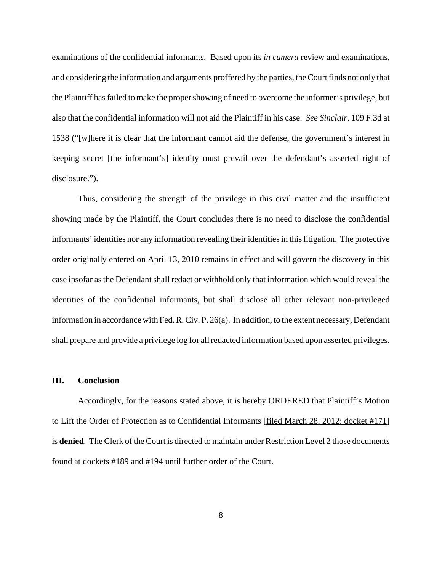examinations of the confidential informants. Based upon its *in camera* review and examinations, and considering the information and arguments proffered by the parties, the Court finds not only that the Plaintiff has failed to make the proper showing of need to overcome the informer's privilege, but also that the confidential information will not aid the Plaintiff in his case. *See Sinclair*, 109 F.3d at 1538 ("[w]here it is clear that the informant cannot aid the defense, the government's interest in keeping secret [the informant's] identity must prevail over the defendant's asserted right of disclosure.").

Thus, considering the strength of the privilege in this civil matter and the insufficient showing made by the Plaintiff, the Court concludes there is no need to disclose the confidential informants' identities nor any information revealing their identities in this litigation. The protective order originally entered on April 13, 2010 remains in effect and will govern the discovery in this case insofar as the Defendant shall redact or withhold only that information which would reveal the identities of the confidential informants, but shall disclose all other relevant non-privileged information in accordance with Fed. R. Civ. P. 26(a). In addition, to the extent necessary, Defendant shall prepare and provide a privilege log for all redacted information based upon asserted privileges.

### **III. Conclusion**

Accordingly, for the reasons stated above, it is hereby ORDERED that Plaintiff's Motion to Lift the Order of Protection as to Confidential Informants [filed March 28, 2012; docket #171] is **denied**. The Clerk of the Court is directed to maintain under Restriction Level 2 those documents found at dockets #189 and #194 until further order of the Court.